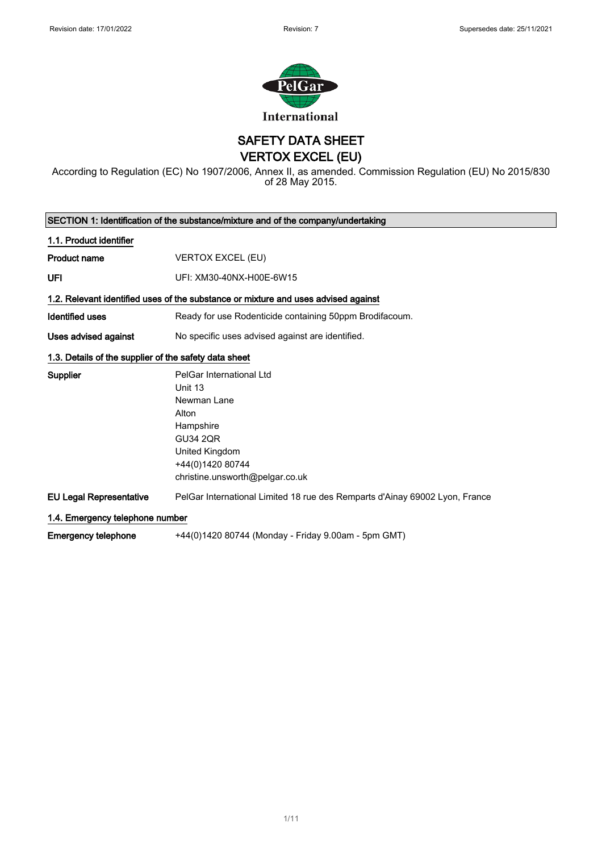

SAFETY DATA SHEET

VERTOX EXCEL (EU)

According to Regulation (EC) No 1907/2006, Annex II, as amended. Commission Regulation (EU) No 2015/830 of 28 May 2015.

| SECTION 1: Identification of the substance/mixture and of the company/undertaking |                                                                                    |
|-----------------------------------------------------------------------------------|------------------------------------------------------------------------------------|
| 1.1. Product identifier                                                           |                                                                                    |
| Product name                                                                      | <b>VERTOX EXCEL (EU)</b>                                                           |
| UFI                                                                               | UFI: XM30-40NX-H00E-6W15                                                           |
|                                                                                   | 1.2. Relevant identified uses of the substance or mixture and uses advised against |
| <b>Identified uses</b>                                                            | Ready for use Rodenticide containing 50ppm Brodifacoum.                            |
| Uses advised against                                                              | No specific uses advised against are identified.                                   |
| 1.3. Details of the supplier of the safety data sheet                             |                                                                                    |
| <b>Supplier</b>                                                                   | PelGar International Ltd                                                           |
|                                                                                   | Unit 13                                                                            |
|                                                                                   | Newman Lane                                                                        |
|                                                                                   | Alton                                                                              |
|                                                                                   | Hampshire                                                                          |
|                                                                                   | <b>GU34 2QR</b>                                                                    |
|                                                                                   | United Kingdom                                                                     |
|                                                                                   | +44(0)1420 80744                                                                   |
|                                                                                   | christine.unsworth@pelgar.co.uk                                                    |
| <b>EU Legal Representative</b>                                                    | PelGar International Limited 18 rue des Remparts d'Ainay 69002 Lyon, France        |
| 1.4. Emergency telephone number                                                   |                                                                                    |
| <b>Emergency telephone</b>                                                        | +44(0)1420 80744 (Monday - Friday 9.00am - 5pm GMT)                                |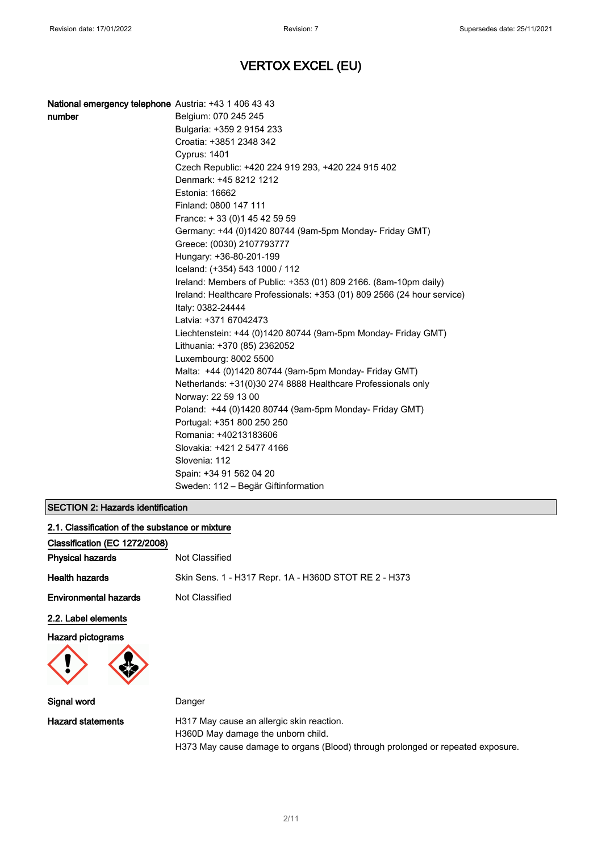| number | Belgium: 070 245 245                                                    |
|--------|-------------------------------------------------------------------------|
|        | Bulgaria: +359 2 9154 233                                               |
|        | Croatia: +3851 2348 342                                                 |
|        | Cyprus: 1401                                                            |
|        | Czech Republic: +420 224 919 293, +420 224 915 402                      |
|        | Denmark: +45 8212 1212                                                  |
|        | Estonia: 16662                                                          |
|        | Finland: 0800 147 111                                                   |
|        | France: +33 (0) 145 42 59 59                                            |
|        | Germany: +44 (0)1420 80744 (9am-5pm Monday- Friday GMT)                 |
|        | Greece: (0030) 2107793777                                               |
|        | Hungary: +36-80-201-199                                                 |
|        | Iceland: (+354) 543 1000 / 112                                          |
|        | Ireland: Members of Public: +353 (01) 809 2166. (8am-10pm daily)        |
|        | Ireland: Healthcare Professionals: +353 (01) 809 2566 (24 hour service) |
|        | Italy: 0382-24444                                                       |
|        | Latvia: +371 67042473                                                   |
|        | Liechtenstein: +44 (0)1420 80744 (9am-5pm Monday- Friday GMT)           |
|        | Lithuania: +370 (85) 2362052                                            |
|        | Luxembourg: 8002 5500                                                   |
|        | Malta: +44 (0)1420 80744 (9am-5pm Monday- Friday GMT)                   |
|        | Netherlands: +31(0)30 274 8888 Healthcare Professionals only            |
|        | Norway: 22 59 13 00                                                     |
|        | Poland: +44 (0)1420 80744 (9am-5pm Monday- Friday GMT)                  |
|        | Portugal: +351 800 250 250                                              |
|        | Romania: +40213183606                                                   |
|        | Slovakia: +421 2 5477 4166                                              |
|        | Slovenia: 112                                                           |
|        | Spain: +34 91 562 04 20                                                 |
|        | Sweden: 112 - Begär Giftinformation                                     |

### SECTION 2: Hazards identification

| 2.1. Classification of the substance or mixture |                                                                                 |
|-------------------------------------------------|---------------------------------------------------------------------------------|
| Classification (EC 1272/2008)                   |                                                                                 |
| <b>Physical hazards</b>                         | Not Classified                                                                  |
| <b>Health hazards</b>                           | Skin Sens. 1 - H317 Repr. 1A - H360D STOT RE 2 - H373                           |
| <b>Environmental hazards</b>                    | Not Classified                                                                  |
| 2.2. Label elements                             |                                                                                 |
| <b>Hazard pictograms</b>                        |                                                                                 |
| Signal word                                     | Danger                                                                          |
| <b>Hazard statements</b>                        | H317 May cause an allergic skin reaction.<br>H360D May damage the unborn child. |

H373 May cause damage to organs (Blood) through prolonged or repeated exposure.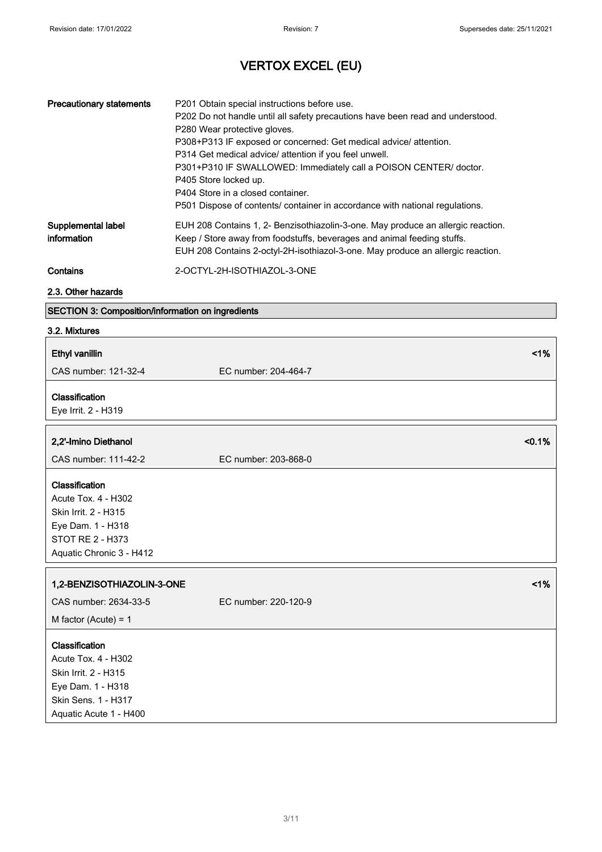| <b>Precautionary statements</b>   | P201 Obtain special instructions before use.<br>P202 Do not handle until all safety precautions have been read and understood.<br>P280 Wear protective gloves.<br>P308+P313 IF exposed or concerned: Get medical advice/ attention.<br>P314 Get medical advice/ attention if you feel unwell.<br>P301+P310 IF SWALLOWED: Immediately call a POISON CENTER/ doctor.<br>P405 Store locked up.<br>P404 Store in a closed container.<br>P501 Dispose of contents/ container in accordance with national regulations. |
|-----------------------------------|------------------------------------------------------------------------------------------------------------------------------------------------------------------------------------------------------------------------------------------------------------------------------------------------------------------------------------------------------------------------------------------------------------------------------------------------------------------------------------------------------------------|
| Supplemental label<br>information | EUH 208 Contains 1, 2- Benzisothiazolin-3-one. May produce an allergic reaction.<br>Keep / Store away from foodstuffs, beverages and animal feeding stuffs.<br>EUH 208 Contains 2-octyl-2H-isothiazol-3-one. May produce an allergic reaction.                                                                                                                                                                                                                                                                   |
| Contains                          | 2-OCTYL-2H-ISOTHIAZOL-3-ONE                                                                                                                                                                                                                                                                                                                                                                                                                                                                                      |

#### 2.3. Other hazards

### SECTION 3: Composition/information on ingredients

#### 3.2. Mixtures

| <b>Ethyl vanillin</b>                                                                                                               | 1%                   |
|-------------------------------------------------------------------------------------------------------------------------------------|----------------------|
| CAS number: 121-32-4                                                                                                                | EC number: 204-464-7 |
| Classification<br>Eye Irrit. 2 - H319                                                                                               |                      |
| 2,2'-Imino Diethanol                                                                                                                | < 0.1%               |
| CAS number: 111-42-2                                                                                                                | EC number: 203-868-0 |
| Classification<br>Acute Tox. 4 - H302<br>Skin Irrit. 2 - H315<br>Eye Dam. 1 - H318<br>STOT RE 2 - H373<br>Aquatic Chronic 3 - H412  |                      |
| 1,2-BENZISOTHIAZOLIN-3-ONE                                                                                                          | 1%                   |
| CAS number: 2634-33-5                                                                                                               | EC number: 220-120-9 |
| M factor (Acute) = $1$                                                                                                              |                      |
| Classification<br>Acute Tox. 4 - H302<br>Skin Irrit. 2 - H315<br>Eye Dam. 1 - H318<br>Skin Sens. 1 - H317<br>Aquatic Acute 1 - H400 |                      |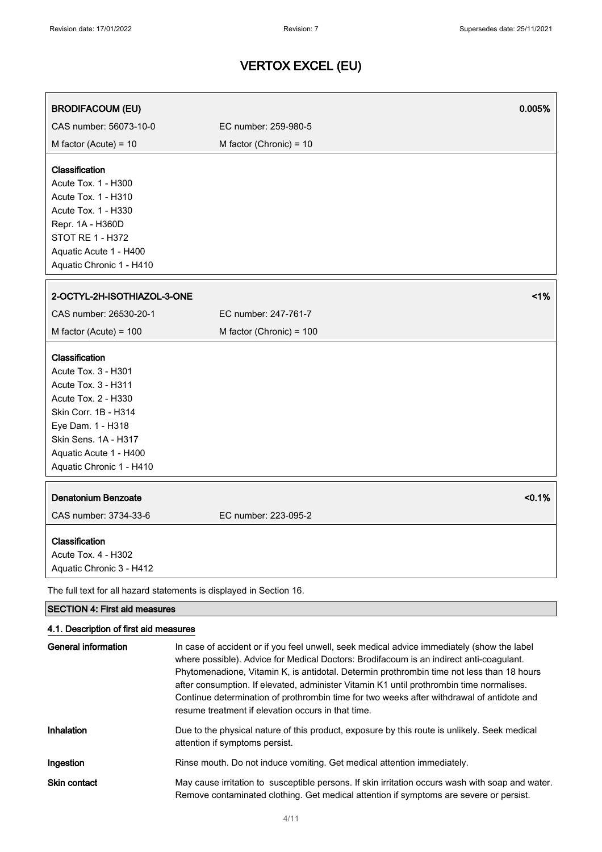| <b>BRODIFACOUM (EU)</b>                                                                                                                                                                                               |                           | 0.005% |
|-----------------------------------------------------------------------------------------------------------------------------------------------------------------------------------------------------------------------|---------------------------|--------|
| CAS number: 56073-10-0                                                                                                                                                                                                | EC number: 259-980-5      |        |
| M factor (Acute) = $10$                                                                                                                                                                                               | M factor (Chronic) = $10$ |        |
| Classification<br>Acute Tox. 1 - H300<br>Acute Tox. 1 - H310<br>Acute Tox. 1 - H330<br>Repr. 1A - H360D<br><b>STOT RE 1 - H372</b><br>Aquatic Acute 1 - H400<br>Aquatic Chronic 1 - H410                              |                           |        |
| 2-OCTYL-2H-ISOTHIAZOL-3-ONE                                                                                                                                                                                           |                           | 1%     |
| CAS number: 26530-20-1                                                                                                                                                                                                | EC number: 247-761-7      |        |
| M factor (Acute) = $100$                                                                                                                                                                                              | M factor (Chronic) = 100  |        |
| Classification<br>Acute Tox. 3 - H301<br><b>Acute Tox. 3 - H311</b><br>Acute Tox. 2 - H330<br>Skin Corr. 1B - H314<br>Eye Dam. 1 - H318<br>Skin Sens. 1A - H317<br>Aquatic Acute 1 - H400<br>Aquatic Chronic 1 - H410 |                           |        |
| <b>Denatonium Benzoate</b><br>CAS number: 3734-33-6                                                                                                                                                                   | EC number: 223-095-2      | < 0.1% |
| Classification<br>Acute Tox. 4 - H302<br>Aquatic Chronic 3 - H412                                                                                                                                                     |                           |        |
| The full text for all hazard statements is displayed in Section 16.                                                                                                                                                   |                           |        |
| <b>SECTION 4: First aid measures</b>                                                                                                                                                                                  |                           |        |
| 4.1. Description of first aid measures                                                                                                                                                                                |                           |        |

| General information | In case of accident or if you feel unwell, seek medical advice immediately (show the label<br>where possible). Advice for Medical Doctors: Brodifacoum is an indirect anti-coagulant.<br>Phytomenadione, Vitamin K, is antidotal. Determin prothrombin time not less than 18 hours<br>after consumption. If elevated, administer Vitamin K1 until prothrombin time normalises.<br>Continue determination of prothrombin time for two weeks after withdrawal of antidote and<br>resume treatment if elevation occurs in that time. |
|---------------------|-----------------------------------------------------------------------------------------------------------------------------------------------------------------------------------------------------------------------------------------------------------------------------------------------------------------------------------------------------------------------------------------------------------------------------------------------------------------------------------------------------------------------------------|
| Inhalation          | Due to the physical nature of this product, exposure by this route is unlikely. Seek medical<br>attention if symptoms persist.                                                                                                                                                                                                                                                                                                                                                                                                    |
| Ingestion           | Rinse mouth. Do not induce vomiting. Get medical attention immediately.                                                                                                                                                                                                                                                                                                                                                                                                                                                           |
| <b>Skin contact</b> | May cause irritation to susceptible persons. If skin irritation occurs wash with soap and water.<br>Remove contaminated clothing. Get medical attention if symptoms are severe or persist.                                                                                                                                                                                                                                                                                                                                        |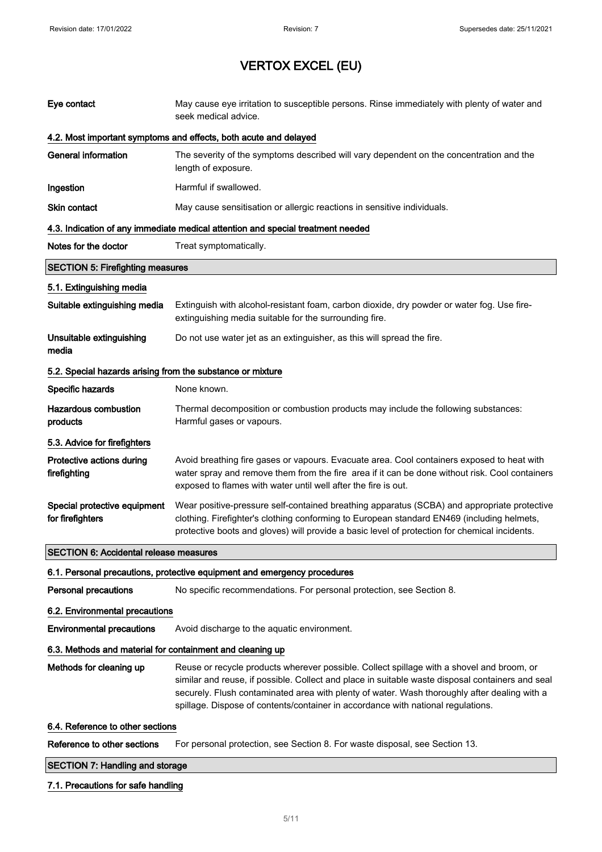| Eye contact                                                | May cause eye irritation to susceptible persons. Rinse immediately with plenty of water and<br>seek medical advice.                                                                                                                                                                                                                                                               |  |
|------------------------------------------------------------|-----------------------------------------------------------------------------------------------------------------------------------------------------------------------------------------------------------------------------------------------------------------------------------------------------------------------------------------------------------------------------------|--|
|                                                            | 4.2. Most important symptoms and effects, both acute and delayed                                                                                                                                                                                                                                                                                                                  |  |
| <b>General information</b>                                 | The severity of the symptoms described will vary dependent on the concentration and the<br>length of exposure.                                                                                                                                                                                                                                                                    |  |
| Ingestion                                                  | Harmful if swallowed.                                                                                                                                                                                                                                                                                                                                                             |  |
| Skin contact                                               | May cause sensitisation or allergic reactions in sensitive individuals.                                                                                                                                                                                                                                                                                                           |  |
|                                                            | 4.3. Indication of any immediate medical attention and special treatment needed                                                                                                                                                                                                                                                                                                   |  |
| Notes for the doctor                                       | Treat symptomatically.                                                                                                                                                                                                                                                                                                                                                            |  |
| <b>SECTION 5: Firefighting measures</b>                    |                                                                                                                                                                                                                                                                                                                                                                                   |  |
| 5.1. Extinguishing media                                   |                                                                                                                                                                                                                                                                                                                                                                                   |  |
| Suitable extinguishing media                               | Extinguish with alcohol-resistant foam, carbon dioxide, dry powder or water fog. Use fire-<br>extinguishing media suitable for the surrounding fire.                                                                                                                                                                                                                              |  |
| Unsuitable extinguishing<br>media                          | Do not use water jet as an extinguisher, as this will spread the fire.                                                                                                                                                                                                                                                                                                            |  |
| 5.2. Special hazards arising from the substance or mixture |                                                                                                                                                                                                                                                                                                                                                                                   |  |
| Specific hazards                                           | None known.                                                                                                                                                                                                                                                                                                                                                                       |  |
| <b>Hazardous combustion</b><br>products                    | Thermal decomposition or combustion products may include the following substances:<br>Harmful gases or vapours.                                                                                                                                                                                                                                                                   |  |
| 5.3. Advice for firefighters                               |                                                                                                                                                                                                                                                                                                                                                                                   |  |
| Protective actions during<br>firefighting                  | Avoid breathing fire gases or vapours. Evacuate area. Cool containers exposed to heat with<br>water spray and remove them from the fire area if it can be done without risk. Cool containers<br>exposed to flames with water until well after the fire is out.                                                                                                                    |  |
| Special protective equipment<br>for firefighters           | Wear positive-pressure self-contained breathing apparatus (SCBA) and appropriate protective<br>clothing. Firefighter's clothing conforming to European standard EN469 (including helmets,<br>protective boots and gloves) will provide a basic level of protection for chemical incidents.                                                                                        |  |
| <b>SECTION 6: Accidental release measures</b>              |                                                                                                                                                                                                                                                                                                                                                                                   |  |
|                                                            | 6.1. Personal precautions, protective equipment and emergency procedures                                                                                                                                                                                                                                                                                                          |  |
| <b>Personal precautions</b>                                | No specific recommendations. For personal protection, see Section 8.                                                                                                                                                                                                                                                                                                              |  |
| 6.2. Environmental precautions                             |                                                                                                                                                                                                                                                                                                                                                                                   |  |
| <b>Environmental precautions</b>                           | Avoid discharge to the aquatic environment.                                                                                                                                                                                                                                                                                                                                       |  |
| 6.3. Methods and material for containment and cleaning up  |                                                                                                                                                                                                                                                                                                                                                                                   |  |
| Methods for cleaning up                                    | Reuse or recycle products wherever possible. Collect spillage with a shovel and broom, or<br>similar and reuse, if possible. Collect and place in suitable waste disposal containers and seal<br>securely. Flush contaminated area with plenty of water. Wash thoroughly after dealing with a<br>spillage. Dispose of contents/container in accordance with national regulations. |  |
| 6.4. Reference to other sections                           |                                                                                                                                                                                                                                                                                                                                                                                   |  |
| Reference to other sections                                | For personal protection, see Section 8. For waste disposal, see Section 13.                                                                                                                                                                                                                                                                                                       |  |
| <b>SECTION 7: Handling and storage</b>                     |                                                                                                                                                                                                                                                                                                                                                                                   |  |

### 7.1. Precautions for safe handling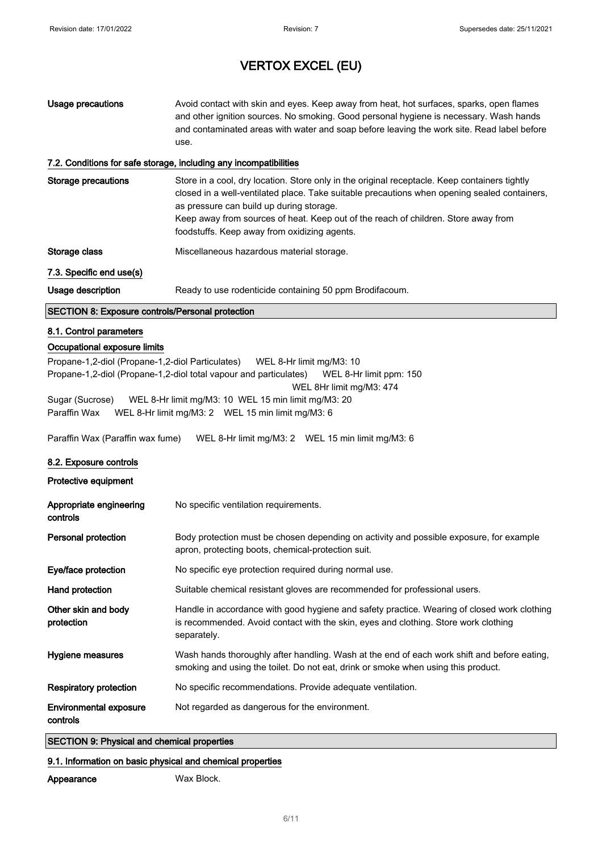| Usage precautions         | Avoid contact with skin and eyes. Keep away from heat, hot surfaces, sparks, open flames<br>and other ignition sources. No smoking. Good personal hygiene is necessary. Wash hands<br>and contaminated areas with water and soap before leaving the work site. Read label before<br>use. |
|---------------------------|------------------------------------------------------------------------------------------------------------------------------------------------------------------------------------------------------------------------------------------------------------------------------------------|
|                           | 7.2. Conditions for safe storage, including any incompatibilities                                                                                                                                                                                                                        |
| <b>Clarage procedures</b> | Stars in a soal dry looption. Stars only in the exiginal researcheds. Keep containers tightly                                                                                                                                                                                            |

#### 7.2. Conditions for safe storage, including any incompatibilities

| Storage precautions                                     | Store in a cool, dry location. Store only in the original receptacle. Keep containers tightly<br>closed in a well-ventilated place. Take suitable precautions when opening sealed containers,<br>as pressure can build up during storage.<br>Keep away from sources of heat. Keep out of the reach of children. Store away from<br>foodstuffs. Keep away from oxidizing agents. |
|---------------------------------------------------------|---------------------------------------------------------------------------------------------------------------------------------------------------------------------------------------------------------------------------------------------------------------------------------------------------------------------------------------------------------------------------------|
| Storage class                                           | Miscellaneous hazardous material storage.                                                                                                                                                                                                                                                                                                                                       |
| 7.3. Specific end use(s)                                |                                                                                                                                                                                                                                                                                                                                                                                 |
| Usage description                                       | Ready to use rodenticide containing 50 ppm Brodifacoum.                                                                                                                                                                                                                                                                                                                         |
| <b>SECTION 8: Exposure controls/Personal protection</b> |                                                                                                                                                                                                                                                                                                                                                                                 |

#### 8.1. Control parameters

#### Occupational exposure limits

Propane-1,2-diol (Propane-1,2-diol Particulates) WEL 8-Hr limit mg/M3: 10 Propane-1,2-diol (Propane-1,2-diol total vapour and particulates) WEL 8-Hr limit ppm: 150 WEL 8Hr limit mg/M3: 474 Sugar (Sucrose) WEL 8-Hr limit mg/M3: 10 WEL 15 min limit mg/M3: 20 Paraffin Wax WEL 8-Hr limit mg/M3: 2 WEL 15 min limit mg/M3: 6

Paraffin Wax (Paraffin wax fume) WEL 8-Hr limit mg/M3: 2 WEL 15 min limit mg/M3: 6

#### 8.2. Exposure controls

Protective equipment

| Appropriate engineering<br>controls | No specific ventilation requirements.                                                                                                                                                             |
|-------------------------------------|---------------------------------------------------------------------------------------------------------------------------------------------------------------------------------------------------|
| Personal protection                 | Body protection must be chosen depending on activity and possible exposure, for example<br>apron, protecting boots, chemical-protection suit.                                                     |
| Eye/face protection                 | No specific eye protection required during normal use.                                                                                                                                            |
| Hand protection                     | Suitable chemical resistant gloves are recommended for professional users.                                                                                                                        |
| Other skin and body<br>protection   | Handle in accordance with good hygiene and safety practice. Wearing of closed work clothing<br>is recommended. Avoid contact with the skin, eyes and clothing. Store work clothing<br>separately. |
| Hygiene measures                    | Wash hands thoroughly after handling. Wash at the end of each work shift and before eating,<br>smoking and using the toilet. Do not eat, drink or smoke when using this product.                  |
| Respiratory protection              | No specific recommendations. Provide adequate ventilation.                                                                                                                                        |
| Environmental exposure<br>controls  | Not regarded as dangerous for the environment.                                                                                                                                                    |

#### SECTION 9: Physical and chemical properties

#### 9.1. Information on basic physical and chemical properties

Appearance Wax Block.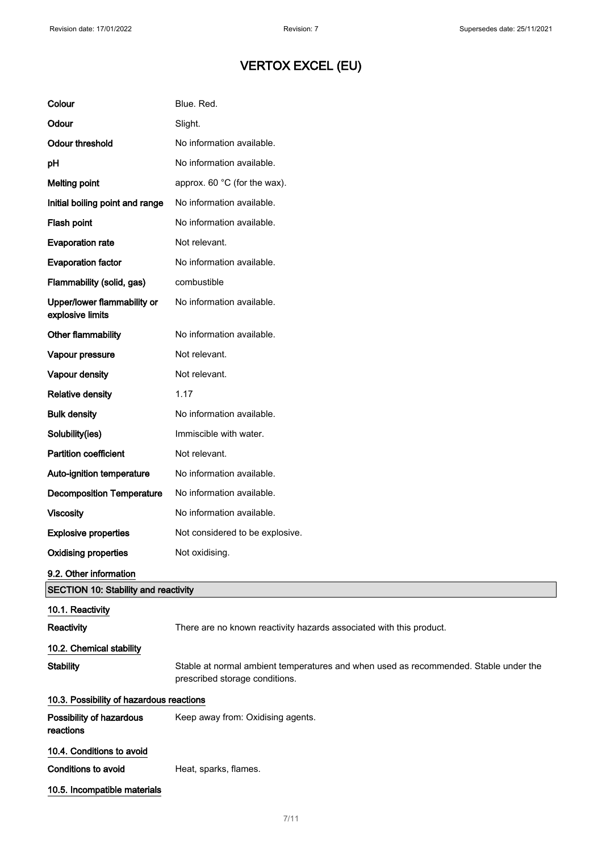| Colour                                          | Blue. Red.                                                                                                             |  |
|-------------------------------------------------|------------------------------------------------------------------------------------------------------------------------|--|
| Odour                                           | Slight.                                                                                                                |  |
| <b>Odour threshold</b>                          | No information available.                                                                                              |  |
| pH                                              | No information available.                                                                                              |  |
| <b>Melting point</b>                            | approx. 60 °C (for the wax).                                                                                           |  |
| Initial boiling point and range                 | No information available.                                                                                              |  |
| Flash point                                     | No information available.                                                                                              |  |
| <b>Evaporation rate</b>                         | Not relevant.                                                                                                          |  |
| <b>Evaporation factor</b>                       | No information available.                                                                                              |  |
| Flammability (solid, gas)                       | combustible                                                                                                            |  |
| Upper/lower flammability or<br>explosive limits | No information available.                                                                                              |  |
| Other flammability                              | No information available.                                                                                              |  |
| Vapour pressure                                 | Not relevant.                                                                                                          |  |
| Vapour density                                  | Not relevant.                                                                                                          |  |
| <b>Relative density</b>                         | 1.17                                                                                                                   |  |
| <b>Bulk density</b>                             | No information available.                                                                                              |  |
| Solubility(ies)                                 | Immiscible with water.                                                                                                 |  |
| <b>Partition coefficient</b>                    | Not relevant.                                                                                                          |  |
| Auto-ignition temperature                       | No information available.                                                                                              |  |
| <b>Decomposition Temperature</b>                | No information available.                                                                                              |  |
| <b>Viscosity</b>                                | No information available.                                                                                              |  |
| <b>Explosive properties</b>                     | Not considered to be explosive.                                                                                        |  |
| <b>Oxidising properties</b>                     | Not oxidising.                                                                                                         |  |
| 9.2. Other information                          |                                                                                                                        |  |
| <b>SECTION 10: Stability and reactivity</b>     |                                                                                                                        |  |
| 10.1. Reactivity<br>Reactivity                  | There are no known reactivity hazards associated with this product.                                                    |  |
| 10.2. Chemical stability                        |                                                                                                                        |  |
| <b>Stability</b>                                | Stable at normal ambient temperatures and when used as recommended. Stable under the<br>prescribed storage conditions. |  |
| 10.3. Possibility of hazardous reactions        |                                                                                                                        |  |
| Possibility of hazardous<br>reactions           | Keep away from: Oxidising agents.                                                                                      |  |
| 10.4. Conditions to avoid                       |                                                                                                                        |  |
| <b>Conditions to avoid</b>                      | Heat, sparks, flames.                                                                                                  |  |
| 10.5. Incompatible materials                    |                                                                                                                        |  |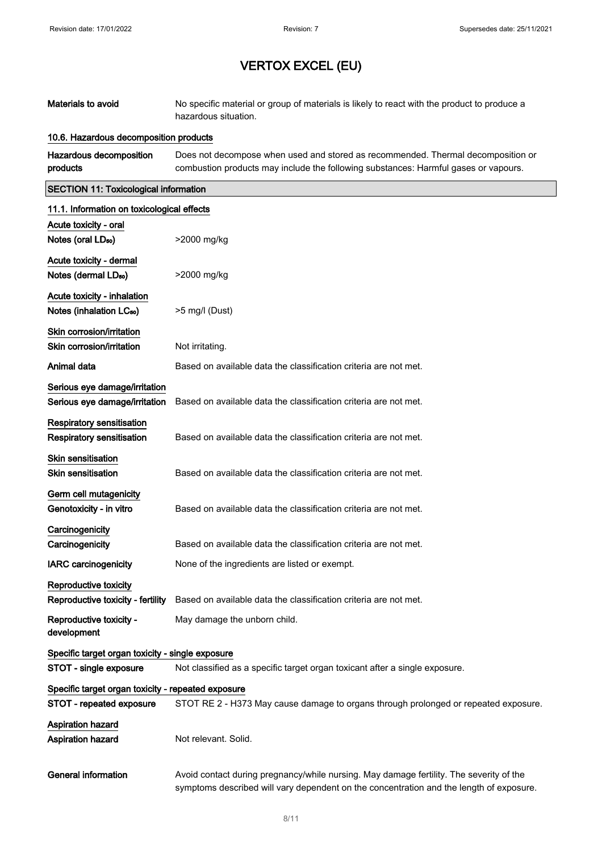| Materials to avoid                                                  | No specific material or group of materials is likely to react with the product to produce a<br>hazardous situation.                                                                |  |
|---------------------------------------------------------------------|------------------------------------------------------------------------------------------------------------------------------------------------------------------------------------|--|
| 10.6. Hazardous decomposition products                              |                                                                                                                                                                                    |  |
| Hazardous decomposition<br>products                                 | Does not decompose when used and stored as recommended. Thermal decomposition or<br>combustion products may include the following substances: Harmful gases or vapours.            |  |
| <b>SECTION 11: Toxicological information</b>                        |                                                                                                                                                                                    |  |
| 11.1. Information on toxicological effects                          |                                                                                                                                                                                    |  |
| Acute toxicity - oral                                               |                                                                                                                                                                                    |  |
| Notes (oral LD <sub>50</sub> )                                      | >2000 mg/kg                                                                                                                                                                        |  |
| Acute toxicity - dermal<br>Notes (dermal LD <sub>50</sub> )         | >2000 mg/kg                                                                                                                                                                        |  |
| Acute toxicity - inhalation<br>Notes (inhalation LC <sub>50</sub> ) | >5 mg/l (Dust)                                                                                                                                                                     |  |
| Skin corrosion/irritation                                           |                                                                                                                                                                                    |  |
| Skin corrosion/irritation                                           | Not irritating.                                                                                                                                                                    |  |
| Animal data                                                         | Based on available data the classification criteria are not met.                                                                                                                   |  |
| Serious eye damage/irritation                                       |                                                                                                                                                                                    |  |
| Serious eye damage/irritation                                       | Based on available data the classification criteria are not met.                                                                                                                   |  |
| <b>Respiratory sensitisation</b>                                    |                                                                                                                                                                                    |  |
| <b>Respiratory sensitisation</b>                                    | Based on available data the classification criteria are not met.                                                                                                                   |  |
| <b>Skin sensitisation</b><br><b>Skin sensitisation</b>              | Based on available data the classification criteria are not met.                                                                                                                   |  |
| Germ cell mutagenicity<br>Genotoxicity - in vitro                   | Based on available data the classification criteria are not met.                                                                                                                   |  |
| Carcinogenicity                                                     |                                                                                                                                                                                    |  |
| Carcinogenicity                                                     | Based on available data the classification criteria are not met.                                                                                                                   |  |
| <b>IARC</b> carcinogenicity                                         | None of the ingredients are listed or exempt.                                                                                                                                      |  |
| Reproductive toxicity                                               |                                                                                                                                                                                    |  |
| Reproductive toxicity - fertility                                   | Based on available data the classification criteria are not met.                                                                                                                   |  |
| Reproductive toxicity -<br>development                              | May damage the unborn child.                                                                                                                                                       |  |
| Specific target organ toxicity - single exposure                    |                                                                                                                                                                                    |  |
| STOT - single exposure                                              | Not classified as a specific target organ toxicant after a single exposure.                                                                                                        |  |
| Specific target organ toxicity - repeated exposure                  |                                                                                                                                                                                    |  |
| STOT - repeated exposure                                            | STOT RE 2 - H373 May cause damage to organs through prolonged or repeated exposure.                                                                                                |  |
| Aspiration hazard<br>Aspiration hazard                              | Not relevant. Solid.                                                                                                                                                               |  |
| <b>General information</b>                                          | Avoid contact during pregnancy/while nursing. May damage fertility. The severity of the<br>symptoms described will vary dependent on the concentration and the length of exposure. |  |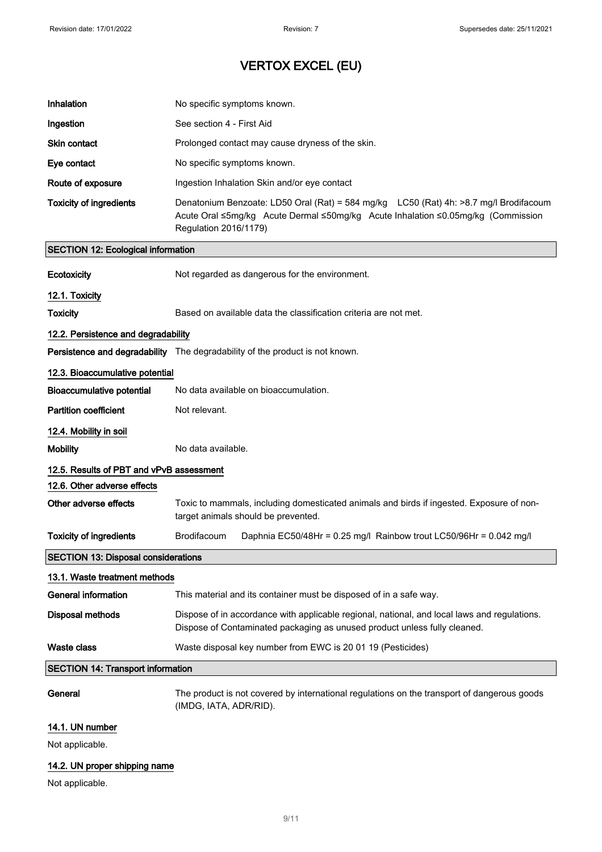| Inhalation                                 | No specific symptoms known.                                                                                                                                                                        |  |
|--------------------------------------------|----------------------------------------------------------------------------------------------------------------------------------------------------------------------------------------------------|--|
| Ingestion                                  | See section 4 - First Aid                                                                                                                                                                          |  |
| <b>Skin contact</b>                        | Prolonged contact may cause dryness of the skin.                                                                                                                                                   |  |
| Eye contact                                | No specific symptoms known.                                                                                                                                                                        |  |
| Route of exposure                          | Ingestion Inhalation Skin and/or eye contact                                                                                                                                                       |  |
| <b>Toxicity of ingredients</b>             | Denatonium Benzoate: LD50 Oral (Rat) = 584 mg/kg LC50 (Rat) 4h: >8.7 mg/l Brodifacoum<br>Acute Oral ≤5mg/kg Acute Dermal ≤50mg/kg Acute Inhalation ≤0.05mg/kg (Commission<br>Regulation 2016/1179) |  |
| <b>SECTION 12: Ecological information</b>  |                                                                                                                                                                                                    |  |
| Ecotoxicity                                | Not regarded as dangerous for the environment.                                                                                                                                                     |  |
| 12.1. Toxicity                             |                                                                                                                                                                                                    |  |
| <b>Toxicity</b>                            | Based on available data the classification criteria are not met.                                                                                                                                   |  |
| 12.2. Persistence and degradability        |                                                                                                                                                                                                    |  |
|                                            | <b>Persistence and degradability</b> The degradability of the product is not known.                                                                                                                |  |
| 12.3. Bioaccumulative potential            |                                                                                                                                                                                                    |  |
| <b>Bioaccumulative potential</b>           | No data available on bioaccumulation.                                                                                                                                                              |  |
| <b>Partition coefficient</b>               | Not relevant.                                                                                                                                                                                      |  |
| 12.4. Mobility in soil                     |                                                                                                                                                                                                    |  |
| <b>Mobility</b>                            | No data available.                                                                                                                                                                                 |  |
| 12.5. Results of PBT and vPvB assessment   |                                                                                                                                                                                                    |  |
| 12.6. Other adverse effects                |                                                                                                                                                                                                    |  |
| Other adverse effects                      | Toxic to mammals, including domesticated animals and birds if ingested. Exposure of non-<br>target animals should be prevented.                                                                    |  |
| <b>Toxicity of ingredients</b>             | Brodifacoum<br>Daphnia EC50/48Hr = 0.25 mg/l Rainbow trout LC50/96Hr = 0.042 mg/l                                                                                                                  |  |
| <b>SECTION 13: Disposal considerations</b> |                                                                                                                                                                                                    |  |
| 13.1. Waste treatment methods              |                                                                                                                                                                                                    |  |
| <b>General information</b>                 | This material and its container must be disposed of in a safe way.                                                                                                                                 |  |
| <b>Disposal methods</b>                    | Dispose of in accordance with applicable regional, national, and local laws and regulations.<br>Dispose of Contaminated packaging as unused product unless fully cleaned.                          |  |
| Waste class                                | Waste disposal key number from EWC is 20 01 19 (Pesticides)                                                                                                                                        |  |
| <b>SECTION 14: Transport information</b>   |                                                                                                                                                                                                    |  |
| General                                    | The product is not covered by international regulations on the transport of dangerous goods<br>(IMDG, IATA, ADR/RID).                                                                              |  |
| 14.1. UN number                            |                                                                                                                                                                                                    |  |
| Not applicable.                            |                                                                                                                                                                                                    |  |
| 14.2. UN proper shipping name              |                                                                                                                                                                                                    |  |

Not applicable.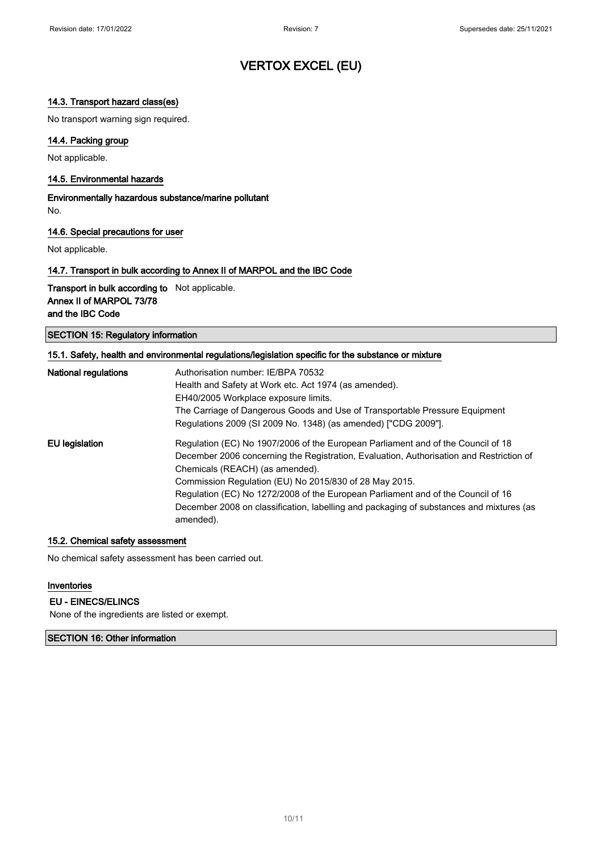#### 14.3. Transport hazard class(es)

No transport warning sign required.

#### 14.4. Packing group

Not applicable.

#### 14.5. Environmental hazards

Environmentally hazardous substance/marine pollutant No.

#### 14.6. Special precautions for user

Not applicable.

#### 14.7. Transport in bulk according to Annex II of MARPOL and the IBC Code

Transport in bulk according to Not applicable. Annex II of MARPOL 73/78 and the IBC Code

SECTION 15: Regulatory information

| 15.1. Safety, health and environmental regulations/legislation specific for the substance or mixture |                                                                                         |  |
|------------------------------------------------------------------------------------------------------|-----------------------------------------------------------------------------------------|--|
| <b>National regulations</b>                                                                          | Authorisation number: IE/BPA 70532                                                      |  |
|                                                                                                      | Health and Safety at Work etc. Act 1974 (as amended).                                   |  |
|                                                                                                      | EH40/2005 Workplace exposure limits.                                                    |  |
|                                                                                                      | The Carriage of Dangerous Goods and Use of Transportable Pressure Equipment             |  |
|                                                                                                      | Regulations 2009 (SI 2009 No. 1348) (as amended) ["CDG 2009"].                          |  |
| EU legislation                                                                                       | Regulation (EC) No 1907/2006 of the European Parliament and of the Council of 18        |  |
|                                                                                                      | December 2006 concerning the Registration, Evaluation, Authorisation and Restriction of |  |
|                                                                                                      | Chemicals (REACH) (as amended).                                                         |  |
|                                                                                                      | Commission Regulation (EU) No 2015/830 of 28 May 2015.                                  |  |
|                                                                                                      | Regulation (EC) No 1272/2008 of the European Parliament and of the Council of 16        |  |
|                                                                                                      | December 2008 on classification, labelling and packaging of substances and mixtures (as |  |
|                                                                                                      | amended).                                                                               |  |

#### 15.2. Chemical safety assessment

No chemical safety assessment has been carried out.

#### Inventories

#### EU - EINECS/ELINCS

None of the ingredients are listed or exempt.

SECTION 16: Other information